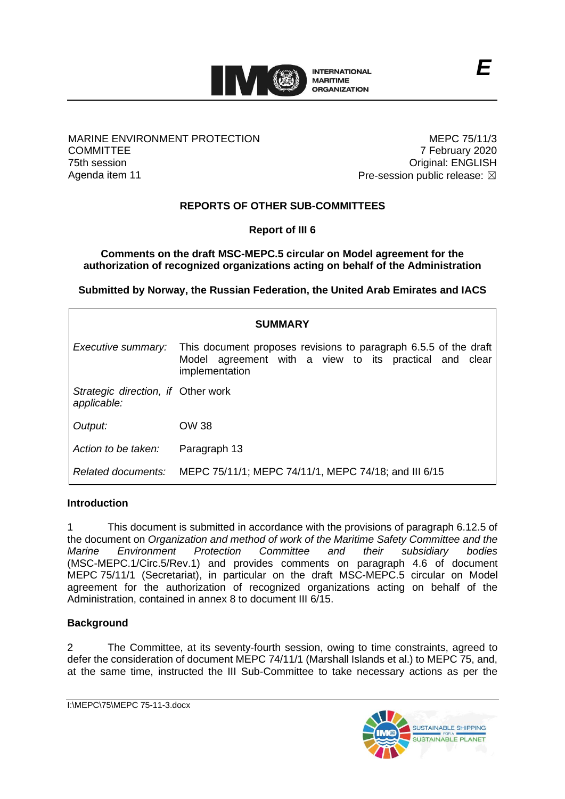

### MARINE ENVIRONMENT PROTECTION **COMMITTEE** 75th session Agenda item 11

MEPC 75/11/3 7 February 2020 Original: ENGLISH Pre-session public release:  $\boxtimes$ 

# **REPORTS OF OTHER SUB-COMMITTEES**

**Report of III 6**

**Comments on the draft MSC-MEPC.5 circular on Model agreement for the authorization of recognized organizations acting on behalf of the Administration**

**Submitted by Norway, the Russian Federation, the United Arab Emirates and IACS**

| <b>SUMMARY</b>                                    |                                                                                                                                              |
|---------------------------------------------------|----------------------------------------------------------------------------------------------------------------------------------------------|
| Executive summary:                                | This document proposes revisions to paragraph 6.5.5 of the draft<br>Model agreement with a view to its practical and clear<br>implementation |
| Strategic direction, if Other work<br>applicable: |                                                                                                                                              |
| Output:                                           | OW 38                                                                                                                                        |
| Action to be taken:                               | Paragraph 13                                                                                                                                 |
| Related documents:                                | MEPC 75/11/1; MEPC 74/11/1, MEPC 74/18; and III 6/15                                                                                         |

### **Introduction**

1 This document is submitted in accordance with the provisions of paragraph 6.12.5 of the document on *Organization and method of work of the Maritime Safety Committee and the Marine Environment Protection Committee and their subsidiary bodies* (MSC-MEPC.1/Circ.5/Rev.1) and provides comments on paragraph 4.6 of document MEPC 75/11/1 (Secretariat), in particular on the draft MSC-MEPC.5 circular on Model agreement for the authorization of recognized organizations acting on behalf of the Administration, contained in annex 8 to document III 6/15.

## **Background**

2 The Committee, at its seventy-fourth session, owing to time constraints, agreed to defer the consideration of document MEPC 74/11/1 (Marshall Islands et al.) to MEPC 75, and, at the same time, instructed the III Sub-Committee to take necessary actions as per the

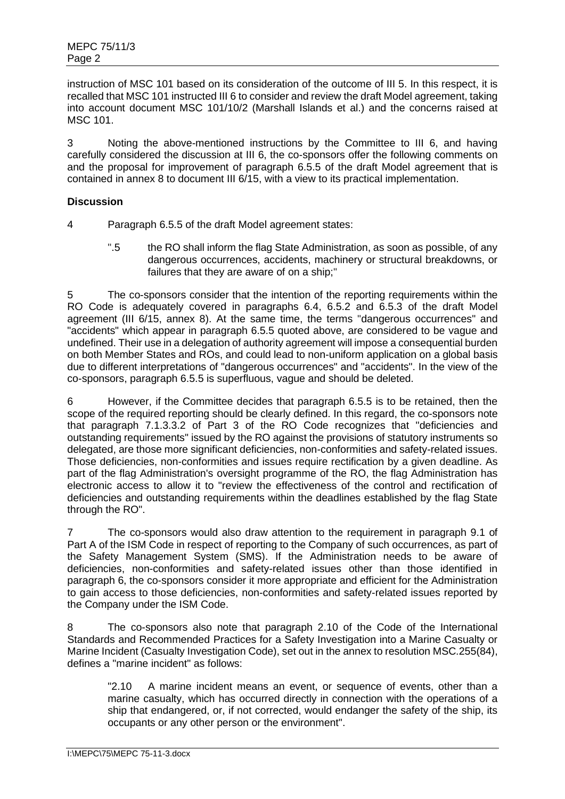instruction of MSC 101 based on its consideration of the outcome of III 5. In this respect, it is recalled that MSC 101 instructed III 6 to consider and review the draft Model agreement, taking into account document MSC 101/10/2 (Marshall Islands et al.) and the concerns raised at MSC 101.

3 Noting the above-mentioned instructions by the Committee to III 6, and having carefully considered the discussion at III 6, the co-sponsors offer the following comments on and the proposal for improvement of paragraph 6.5.5 of the draft Model agreement that is contained in annex 8 to document III 6/15, with a view to its practical implementation.

## **Discussion**

4 Paragraph 6.5.5 of the draft Model agreement states:

".5 the RO shall inform the flag State Administration, as soon as possible, of any dangerous occurrences, accidents, machinery or structural breakdowns, or failures that they are aware of on a ship;"

5 The co-sponsors consider that the intention of the reporting requirements within the RO Code is adequately covered in paragraphs 6.4, 6.5.2 and 6.5.3 of the draft Model agreement (III 6/15, annex 8). At the same time, the terms "dangerous occurrences" and "accidents" which appear in paragraph 6.5.5 quoted above, are considered to be vague and undefined. Their use in a delegation of authority agreement will impose a consequential burden on both Member States and ROs, and could lead to non-uniform application on a global basis due to different interpretations of "dangerous occurrences" and "accidents". In the view of the co-sponsors, paragraph 6.5.5 is superfluous, vague and should be deleted.

6 However, if the Committee decides that paragraph 6.5.5 is to be retained, then the scope of the required reporting should be clearly defined. In this regard, the co-sponsors note that paragraph 7.1.3.3.2 of Part 3 of the RO Code recognizes that "deficiencies and outstanding requirements" issued by the RO against the provisions of statutory instruments so delegated, are those more significant deficiencies, non-conformities and safety-related issues. Those deficiencies, non-conformities and issues require rectification by a given deadline. As part of the flag Administration's oversight programme of the RO, the flag Administration has electronic access to allow it to "review the effectiveness of the control and rectification of deficiencies and outstanding requirements within the deadlines established by the flag State through the RO".

7 The co-sponsors would also draw attention to the requirement in paragraph 9.1 of Part A of the ISM Code in respect of reporting to the Company of such occurrences, as part of the Safety Management System (SMS). If the Administration needs to be aware of deficiencies, non-conformities and safety-related issues other than those identified in paragraph 6, the co-sponsors consider it more appropriate and efficient for the Administration to gain access to those deficiencies, non-conformities and safety-related issues reported by the Company under the ISM Code.

8 The co-sponsors also note that paragraph 2.10 of the Code of the International Standards and Recommended Practices for a Safety Investigation into a Marine Casualty or Marine Incident (Casualty Investigation Code), set out in the annex to resolution MSC.255(84), defines a "marine incident" as follows:

"2.10 A marine incident means an event, or sequence of events, other than a marine casualty, which has occurred directly in connection with the operations of a ship that endangered, or, if not corrected, would endanger the safety of the ship, its occupants or any other person or the environment".